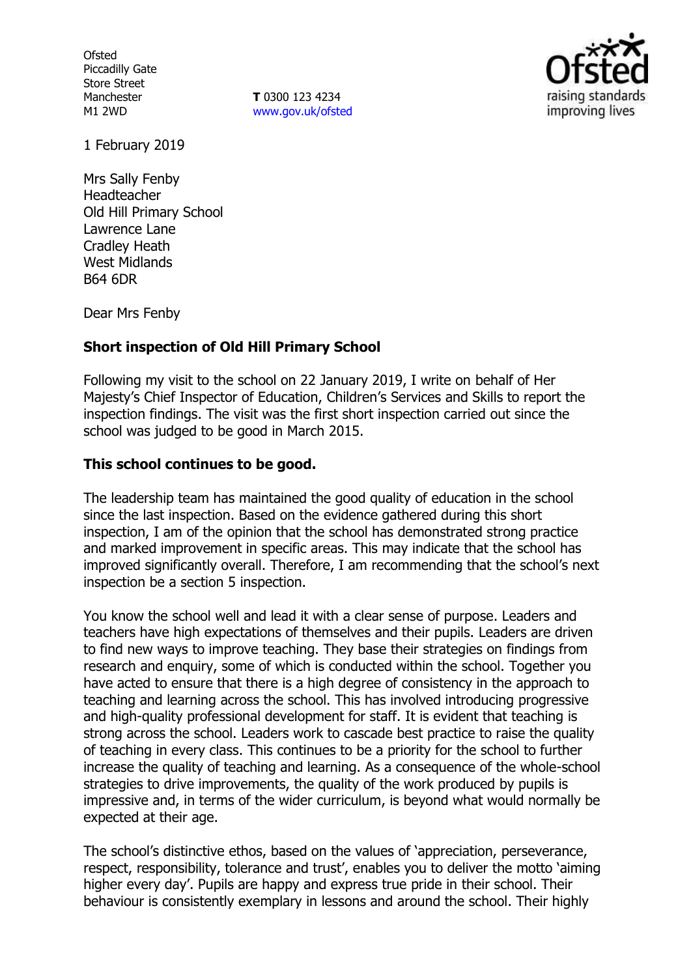**Ofsted** Piccadilly Gate Store Street Manchester M1 2WD

**T** 0300 123 4234 www.gov.uk/ofsted



1 February 2019

Mrs Sally Fenby Headteacher Old Hill Primary School Lawrence Lane Cradley Heath West Midlands B64 6DR

Dear Mrs Fenby

### **Short inspection of Old Hill Primary School**

Following my visit to the school on 22 January 2019, I write on behalf of Her Majesty's Chief Inspector of Education, Children's Services and Skills to report the inspection findings. The visit was the first short inspection carried out since the school was judged to be good in March 2015.

### **This school continues to be good.**

The leadership team has maintained the good quality of education in the school since the last inspection. Based on the evidence gathered during this short inspection, I am of the opinion that the school has demonstrated strong practice and marked improvement in specific areas. This may indicate that the school has improved significantly overall. Therefore, I am recommending that the school's next inspection be a section 5 inspection.

You know the school well and lead it with a clear sense of purpose. Leaders and teachers have high expectations of themselves and their pupils. Leaders are driven to find new ways to improve teaching. They base their strategies on findings from research and enquiry, some of which is conducted within the school. Together you have acted to ensure that there is a high degree of consistency in the approach to teaching and learning across the school. This has involved introducing progressive and high-quality professional development for staff. It is evident that teaching is strong across the school. Leaders work to cascade best practice to raise the quality of teaching in every class. This continues to be a priority for the school to further increase the quality of teaching and learning. As a consequence of the whole-school strategies to drive improvements, the quality of the work produced by pupils is impressive and, in terms of the wider curriculum, is beyond what would normally be expected at their age.

The school's distinctive ethos, based on the values of 'appreciation, perseverance, respect, responsibility, tolerance and trust', enables you to deliver the motto 'aiming higher every day'. Pupils are happy and express true pride in their school. Their behaviour is consistently exemplary in lessons and around the school. Their highly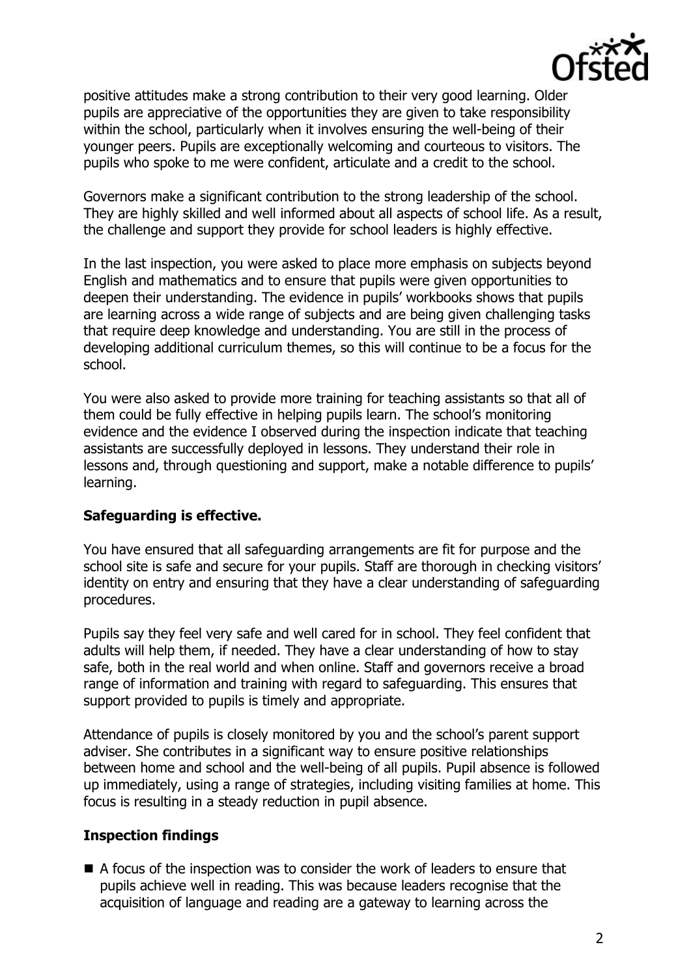

positive attitudes make a strong contribution to their very good learning. Older pupils are appreciative of the opportunities they are given to take responsibility within the school, particularly when it involves ensuring the well-being of their younger peers. Pupils are exceptionally welcoming and courteous to visitors. The pupils who spoke to me were confident, articulate and a credit to the school.

Governors make a significant contribution to the strong leadership of the school. They are highly skilled and well informed about all aspects of school life. As a result, the challenge and support they provide for school leaders is highly effective.

In the last inspection, you were asked to place more emphasis on subjects beyond English and mathematics and to ensure that pupils were given opportunities to deepen their understanding. The evidence in pupils' workbooks shows that pupils are learning across a wide range of subjects and are being given challenging tasks that require deep knowledge and understanding. You are still in the process of developing additional curriculum themes, so this will continue to be a focus for the school.

You were also asked to provide more training for teaching assistants so that all of them could be fully effective in helping pupils learn. The school's monitoring evidence and the evidence I observed during the inspection indicate that teaching assistants are successfully deployed in lessons. They understand their role in lessons and, through questioning and support, make a notable difference to pupils' learning.

# **Safeguarding is effective.**

You have ensured that all safeguarding arrangements are fit for purpose and the school site is safe and secure for your pupils. Staff are thorough in checking visitors' identity on entry and ensuring that they have a clear understanding of safeguarding procedures.

Pupils say they feel very safe and well cared for in school. They feel confident that adults will help them, if needed. They have a clear understanding of how to stay safe, both in the real world and when online. Staff and governors receive a broad range of information and training with regard to safeguarding. This ensures that support provided to pupils is timely and appropriate.

Attendance of pupils is closely monitored by you and the school's parent support adviser. She contributes in a significant way to ensure positive relationships between home and school and the well-being of all pupils. Pupil absence is followed up immediately, using a range of strategies, including visiting families at home. This focus is resulting in a steady reduction in pupil absence.

### **Inspection findings**

A focus of the inspection was to consider the work of leaders to ensure that pupils achieve well in reading. This was because leaders recognise that the acquisition of language and reading are a gateway to learning across the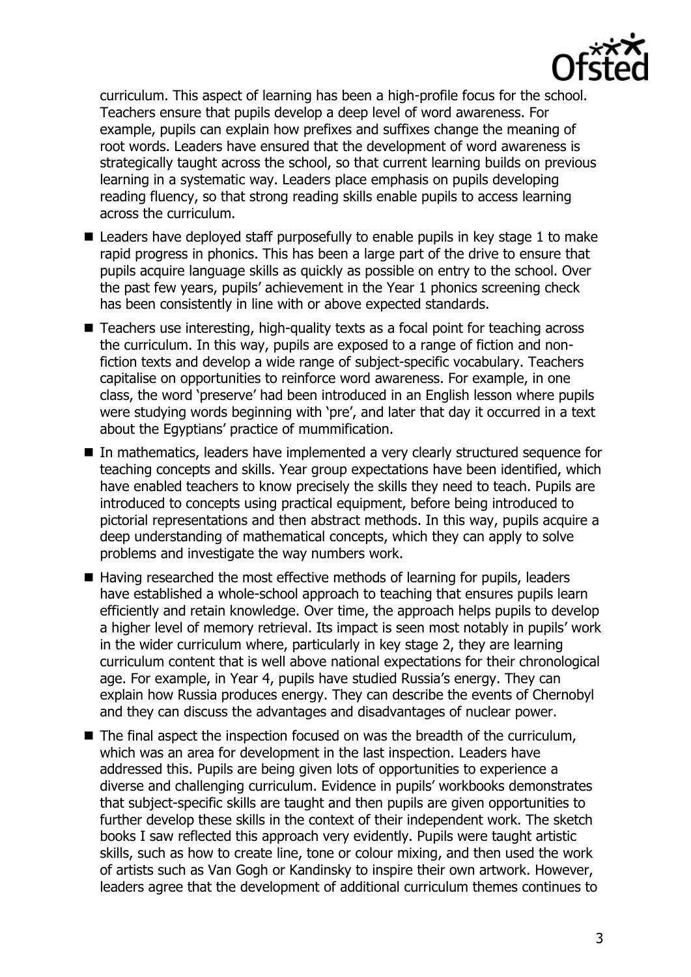

curriculum. This aspect of learning has been a high-profile focus for the school. Teachers ensure that pupils develop a deep level of word awareness. For example, pupils can explain how prefixes and suffixes change the meaning of root words. Leaders have ensured that the development of word awareness is strategically taught across the school, so that current learning builds on previous learning in a systematic way. Leaders place emphasis on pupils developing reading fluency, so that strong reading skills enable pupils to access learning across the curriculum.

- $\blacksquare$  Leaders have deployed staff purposefully to enable pupils in key stage 1 to make rapid progress in phonics. This has been a large part of the drive to ensure that pupils acquire language skills as quickly as possible on entry to the school. Over the past few years, pupils' achievement in the Year 1 phonics screening check has been consistently in line with or above expected standards.
- Teachers use interesting, high-quality texts as a focal point for teaching across the curriculum. In this way, pupils are exposed to a range of fiction and nonfiction texts and develop a wide range of subject-specific vocabulary. Teachers capitalise on opportunities to reinforce word awareness. For example, in one class, the word 'preserve' had been introduced in an English lesson where pupils were studying words beginning with 'pre', and later that day it occurred in a text about the Egyptians' practice of mummification.
- In mathematics, leaders have implemented a very clearly structured sequence for teaching concepts and skills. Year group expectations have been identified, which have enabled teachers to know precisely the skills they need to teach. Pupils are introduced to concepts using practical equipment, before being introduced to pictorial representations and then abstract methods. In this way, pupils acquire a deep understanding of mathematical concepts, which they can apply to solve problems and investigate the way numbers work.
- Having researched the most effective methods of learning for pupils, leaders have established a whole-school approach to teaching that ensures pupils learn efficiently and retain knowledge. Over time, the approach helps pupils to develop a higher level of memory retrieval. Its impact is seen most notably in pupils' work in the wider curriculum where, particularly in key stage 2, they are learning curriculum content that is well above national expectations for their chronological age. For example, in Year 4, pupils have studied Russia's energy. They can explain how Russia produces energy. They can describe the events of Chernobyl and they can discuss the advantages and disadvantages of nuclear power.
- $\blacksquare$  The final aspect the inspection focused on was the breadth of the curriculum, which was an area for development in the last inspection. Leaders have addressed this. Pupils are being given lots of opportunities to experience a diverse and challenging curriculum. Evidence in pupils' workbooks demonstrates that subject-specific skills are taught and then pupils are given opportunities to further develop these skills in the context of their independent work. The sketch books I saw reflected this approach very evidently. Pupils were taught artistic skills, such as how to create line, tone or colour mixing, and then used the work of artists such as Van Gogh or Kandinsky to inspire their own artwork. However, leaders agree that the development of additional curriculum themes continues to